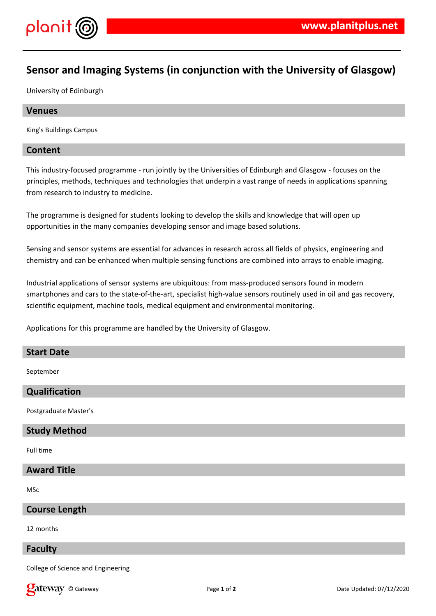

# **Sensor and Imaging Systems (in conjunction with the University of Glasgow)**

University of Edinburgh

#### **Venues**

King's Buildings Campus

## **Content**

This industry-focused programme - run jointly by the Universities of Edinburgh and Glasgow - focuses on the principles, methods, techniques and technologies that underpin a vast range of needs in applications spanning from research to industry to medicine.

The programme is designed for students looking to develop the skills and knowledge that will open up opportunities in the many companies developing sensor and image based solutions.

Sensing and sensor systems are essential for advances in research across all fields of physics, engineering and chemistry and can be enhanced when multiple sensing functions are combined into arrays to enable imaging.

Industrial applications of sensor systems are ubiquitous: from mass-produced sensors found in modern smartphones and cars to the state-of-the-art, specialist high-value sensors routinely used in oil and gas recovery, scientific equipment, machine tools, medical equipment and environmental monitoring.

Applications for this programme are handled by the University of Glasgow.

#### **Start Date**

September

## **Qualification**

Postgraduate Master's

#### **Study Method**

Full time

# **Award Title**

MSc

#### **Course Length**

12 months

#### **Faculty**

College of Science and Engineering

© Gateway Page **1** of **2** Date Updated: 07/12/2020